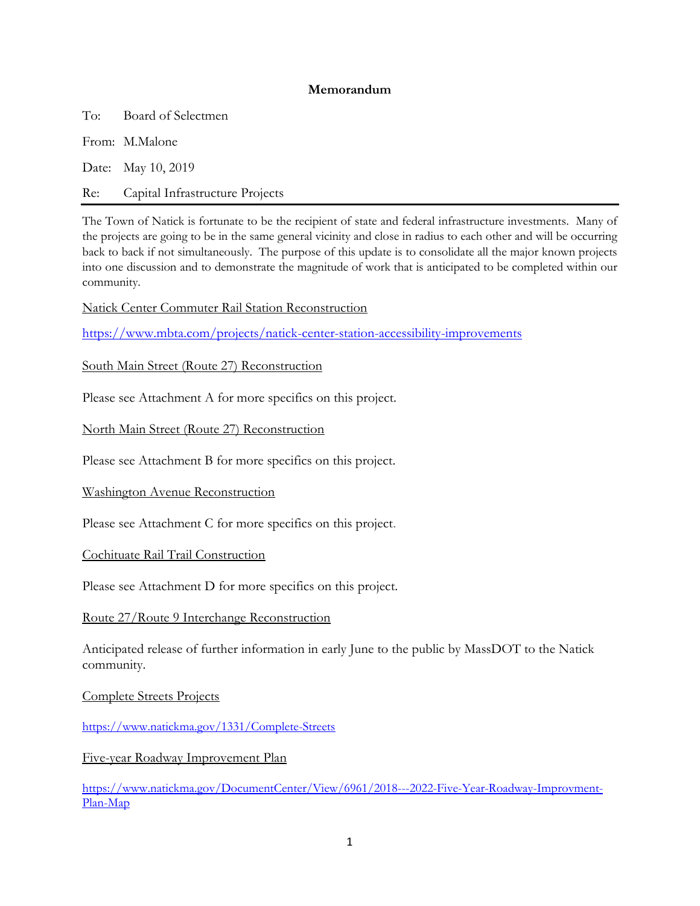## **Memorandum**

To: Board of Selectmen

From: M.Malone

Date: May 10, 2019

Re: Capital Infrastructure Projects

The Town of Natick is fortunate to be the recipient of state and federal infrastructure investments. Many of the projects are going to be in the same general vicinity and close in radius to each other and will be occurring back to back if not simultaneously. The purpose of this update is to consolidate all the major known projects into one discussion and to demonstrate the magnitude of work that is anticipated to be completed within our community.

Natick Center Commuter Rail Station Reconstruction

https://www.mbta.com/projects/natick-center-station-accessibility-improvements

South Main Street (Route 27) Reconstruction

Please see Attachment A for more specifics on this project.

North Main Street (Route 27) Reconstruction

Please see Attachment B for more specifics on this project.

Washington Avenue Reconstruction

Please see Attachment C for more specifics on this project.

Cochituate Rail Trail Construction

Please see Attachment D for more specifics on this project.

Route 27/Route 9 Interchange Reconstruction

Anticipated release of further information in early June to the public by MassDOT to the Natick community.

Complete Streets Projects

https://www.natickma.gov/1331/Complete-Streets

Five-year Roadway Improvement Plan

https://www.natickma.gov/DocumentCenter/View/6961/2018---2022-Five-Year-Roadway-Improvment-Plan-Map